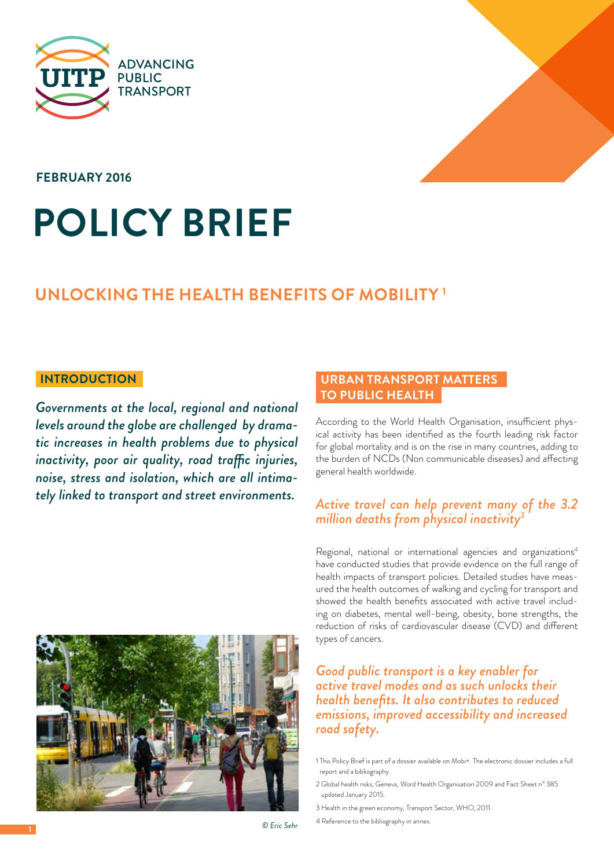



**february 2016**

# **Policy brief**

## **Unlocking the health benefits of mobility 1**

*Governments at the local, regional and national levels around the globe are challenged by dramatic increases in health problems due to physical inactivity, poor air quality, road traffic injuries, noise, stress and isolation, which are all intimately linked to transport and street environments.* 



#### **to public health introduction Urban transport matters**

According to the World Health Organisation, insufficient physical activity has been identified as the fourth leading risk factor for global mortality and is on the rise in many countries, adding to the burden of NCDs (Non communicable diseases) and affecting general health worldwide.

### *Active travel can help prevent many of the 3.2 million deaths from physical inactivity<sup>3</sup>*

Regional, national or international agencies and organizations4 have conducted studies that provide evidence on the full range of health impacts of transport policies. Detailed studies have measured the health outcomes of walking and cycling for transport and showed the health benefits associated with active travel including on diabetes, mental well-being, obesity, bone strengths, the reduction of risks of cardiovascular disease (CVD) and different types of cancers.

#### *Good public transport is a key enabler for active travel modes and as such unlocks their health benefits. It also contributes to reduced emissions, improved accessibility and increased road safety.*

1 This Policy Brief is part of a dossier available on Mobi+. The electronic dossier includes a full report and a bibliography.

2 Global health risks, Geneva, Word Health Organisation 2009 and Fact Sheet n° 385 updated January 2015.

- 3 Health in the green economy, Transport Sector, WHO, 2011.
- 4 Reference to the bibliography in annex.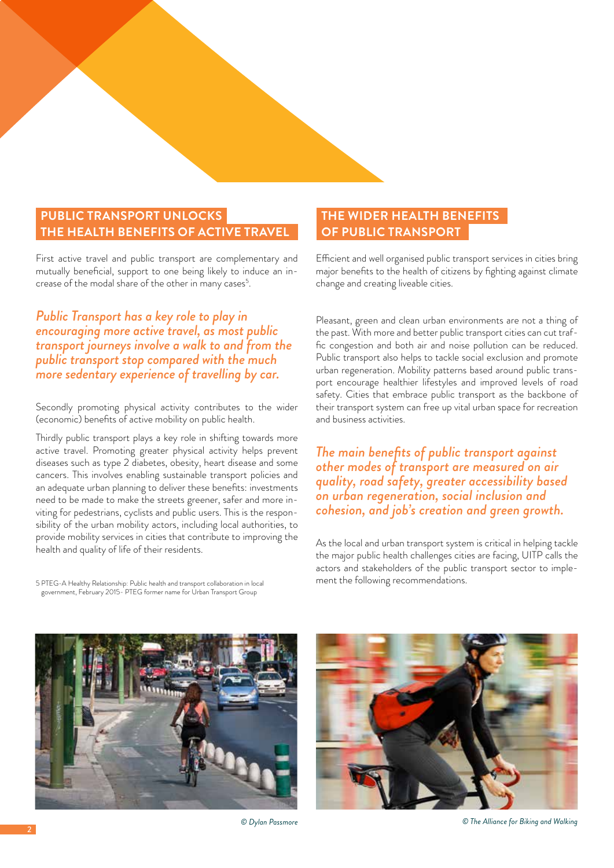#### **THE HEALTH BENEFITS OF ACTIVE TRA Public transport unlocks**

First active travel and public transport are complementary and mutually beneficial, support to one being likely to induce an increase of the modal share of the other in many cases<sup>5</sup>.

*Public Transport has a key role to play in encouraging more active travel, as most public transport journeys involve a walk to and from the public transport stop compared with the much more sedentary experience of travelling by car.* 

Secondly promoting physical activity contributes to the wider (economic) benefits of active mobility on public health.

Thirdly public transport plays a key role in shifting towards more active travel. Promoting greater physical activity helps prevent diseases such as type 2 diabetes, obesity, heart disease and some cancers. This involves enabling sustainable transport policies and an adequate urban planning to deliver these benefits: investments need to be made to make the streets greener, safer and more inviting for pedestrians, cyclists and public users. This is the responsibility of the urban mobility actors, including local authorities, to provide mobility services in cities that contribute to improving the health and quality of life of their residents.

#### **of public transport The wider health benefits**

Efficient and well organised public transport services in cities bring major benefits to the health of citizens by fighting against climate change and creating liveable cities.

Pleasant, green and clean urban environments are not a thing of the past. With more and better public transport cities can cut traffic congestion and both air and noise pollution can be reduced. Public transport also helps to tackle social exclusion and promote urban regeneration. Mobility patterns based around public transport encourage healthier lifestyles and improved levels of road safety. Cities that embrace public transport as the backbone of their transport system can free up vital urban space for recreation and business activities.

*The main benefits of public transport against other modes of transport are measured on air quality, road safety, greater accessibility based on urban regeneration, social inclusion and cohesion, and job's creation and green growth.* 

As the local and urban transport system is critical in helping tackle the major public health challenges cities are facing, UITP calls the actors and stakeholders of the public transport sector to implement the following recommendations.

5 PTEG-A Healthy Relationship: Public health and transport collaboration in local government, February 2015- PTEG former name for Urban Transport Group







*© Dylan Passmore © The Alliance for Biking and Walking*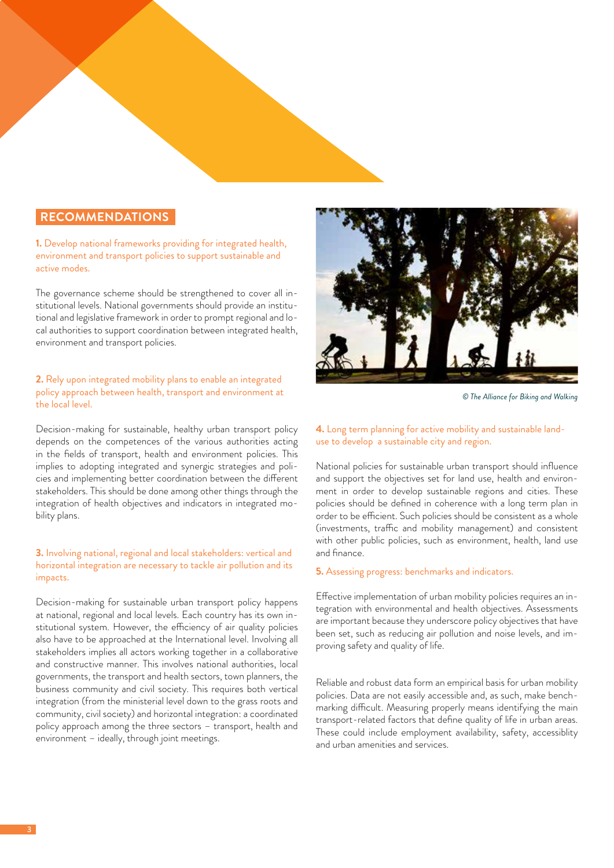#### **recommendations**

**1.** Develop national frameworks providing for integrated health, environment and transport policies to support sustainable and active modes.

The governance scheme should be strengthened to cover all institutional levels. National governments should provide an institutional and legislative framework in order to prompt regional and local authorities to support coordination between integrated health, environment and transport policies.

#### **2.** Rely upon integrated mobility plans to enable an integrated policy approach between health, transport and environment at the local level.

Decision-making for sustainable, healthy urban transport policy depends on the competences of the various authorities acting in the fields of transport, health and environment policies. This implies to adopting integrated and synergic strategies and policies and implementing better coordination between the different stakeholders. This should be done among other things through the integration of health objectives and indicators in integrated mobility plans.

#### **3.** Involving national, regional and local stakeholders: vertical and horizontal integration are necessary to tackle air pollution and its impacts.

Decision-making for sustainable urban transport policy happens at national, regional and local levels. Each country has its own institutional system. However, the efficiency of air quality policies also have to be approached at the International level. Involving all stakeholders implies all actors working together in a collaborative and constructive manner. This involves national authorities, local governments, the transport and health sectors, town planners, the business community and civil society. This requires both vertical integration (from the ministerial level down to the grass roots and community, civil society) and horizontal integration: a coordinated policy approach among the three sectors – transport, health and environment – ideally, through joint meetings.



*© The Alliance for Biking and Walking*

#### **4.** Long term planning for active mobility and sustainable landuse to develop a sustainable city and region.

National policies for sustainable urban transport should influence and support the objectives set for land use, health and environment in order to develop sustainable regions and cities. These policies should be defined in coherence with a long term plan in order to be efficient. Such policies should be consistent as a whole (investments, traffic and mobility management) and consistent with other public policies, such as environment, health, land use and finance.

#### **5.** Assessing progress: benchmarks and indicators.

Effective implementation of urban mobility policies requires an integration with environmental and health objectives. Assessments are important because they underscore policy objectives that have been set, such as reducing air pollution and noise levels, and improving safety and quality of life.

Reliable and robust data form an empirical basis for urban mobility policies. Data are not easily accessible and, as such, make benchmarking difficult. Measuring properly means identifying the main transport-related factors that define quality of life in urban areas. These could include employment availability, safety, accessiblity and urban amenities and services.